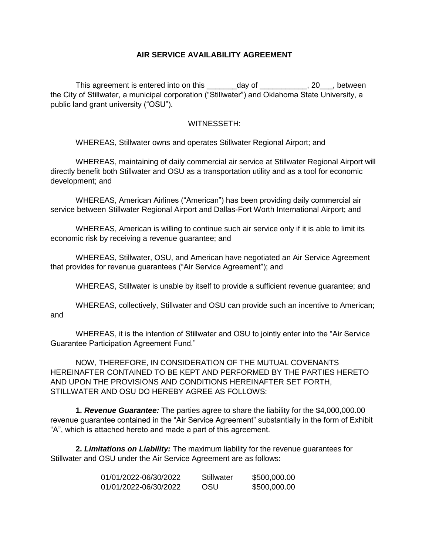## **AIR SERVICE AVAILABILITY AGREEMENT**

This agreement is entered into on this day of this agreement is entered into on this day of the City of Stillwater, a municipal corporation ("Stillwater") and Oklahoma State University, a public land grant university ("OSU").

## WITNESSETH:

WHEREAS, Stillwater owns and operates Stillwater Regional Airport; and

WHEREAS, maintaining of daily commercial air service at Stillwater Regional Airport will directly benefit both Stillwater and OSU as a transportation utility and as a tool for economic development; and

WHEREAS, American Airlines ("American") has been providing daily commercial air service between Stillwater Regional Airport and Dallas-Fort Worth International Airport; and

WHEREAS, American is willing to continue such air service only if it is able to limit its economic risk by receiving a revenue guarantee; and

WHEREAS, Stillwater, OSU, and American have negotiated an Air Service Agreement that provides for revenue guarantees ("Air Service Agreement"); and

WHEREAS, Stillwater is unable by itself to provide a sufficient revenue guarantee; and

WHEREAS, collectively, Stillwater and OSU can provide such an incentive to American; and

WHEREAS, it is the intention of Stillwater and OSU to jointly enter into the "Air Service Guarantee Participation Agreement Fund."

NOW, THEREFORE, IN CONSIDERATION OF THE MUTUAL COVENANTS HEREINAFTER CONTAINED TO BE KEPT AND PERFORMED BY THE PARTIES HERETO AND UPON THE PROVISIONS AND CONDITIONS HEREINAFTER SET FORTH, STILLWATER AND OSU DO HEREBY AGREE AS FOLLOWS:

**1.** *Revenue Guarantee:* The parties agree to share the liability for the \$4,000,000.00 revenue guarantee contained in the "Air Service Agreement" substantially in the form of Exhibit "A", which is attached hereto and made a part of this agreement.

**2.** *Limitations on Liability:* The maximum liability for the revenue guarantees for Stillwater and OSU under the Air Service Agreement are as follows:

| 01/01/2022-06/30/2022 | Stillwater | \$500,000.00 |
|-----------------------|------------|--------------|
| 01/01/2022-06/30/2022 | OSU        | \$500,000.00 |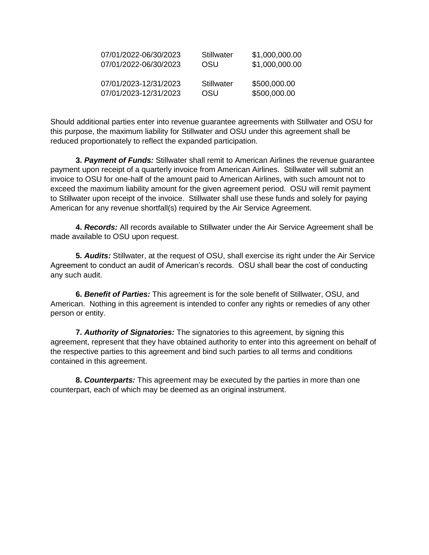| 07/01/2022-06/30/2023 | Stillwater | \$1,000,000.00 |
|-----------------------|------------|----------------|
| 07/01/2022-06/30/2023 | OSU        | \$1,000,000.00 |
| 07/01/2023-12/31/2023 | Stillwater | \$500,000.00   |
| 07/01/2023-12/31/2023 | OSU        | \$500,000.00   |

Should additional parties enter into revenue guarantee agreements with Stillwater and OSU for this purpose, the maximum liability for Stillwater and OSU under this agreement shall be reduced proportionately to reflect the expanded participation.

**3.** *Payment of Funds:* Stillwater shall remit to American Airlines the revenue guarantee payment upon receipt of a quarterly invoice from American Airlines. Stillwater will submit an invoice to OSU for one-half of the amount paid to American Airlines, with such amount not to exceed the maximum liability amount for the given agreement period. OSU will remit payment to Stillwater upon receipt of the invoice. Stillwater shall use these funds and solely for paying American for any revenue shortfall(s) required by the Air Service Agreement.

**4.** *Records:* All records available to Stillwater under the Air Service Agreement shall be made available to OSU upon request.

**5.** *Audits:* Stillwater, at the request of OSU, shall exercise its right under the Air Service Agreement to conduct an audit of American's records. OSU shall bear the cost of conducting any such audit.

**6.** *Benefit of Parties:* This agreement is for the sole benefit of Stillwater, OSU, and American. Nothing in this agreement is intended to confer any rights or remedies of any other person or entity.

**7.** *Authority of Signatories:* The signatories to this agreement, by signing this agreement, represent that they have obtained authority to enter into this agreement on behalf of the respective parties to this agreement and bind such parties to all terms and conditions contained in this agreement.

**8.** *Counterparts:* This agreement may be executed by the parties in more than one counterpart, each of which may be deemed as an original instrument.